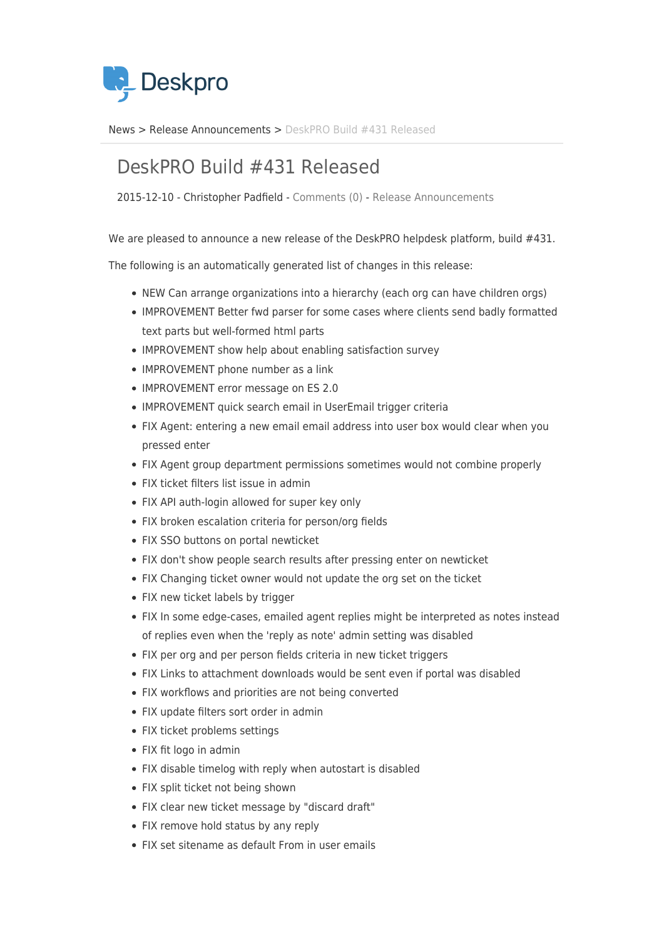

[News](https://support.deskpro.com/ro/news) > [Release Announcements](https://support.deskpro.com/ro/news/release-announcements) > [DeskPRO Build #431 Released](https://support.deskpro.com/ro/news/posts/deskpro-build-431-released)

## DeskPRO Build #431 Released

2015-12-10 - Christopher Padfield - [Comments \(0\)](#page--1-0) - [Release Announcements](https://support.deskpro.com/ro/news/release-announcements)

We are pleased to announce a new release of the DeskPRO helpdesk platform, build #431.

The following is an automatically generated list of changes in this release:

- NEW Can arrange organizations into a hierarchy (each org can have children orgs)
- IMPROVEMENT Better fwd parser for some cases where clients send badly formatted text parts but well-formed html parts
- IMPROVEMENT show help about enabling satisfaction survey
- IMPROVEMENT phone number as a link
- IMPROVEMENT error message on ES 2.0
- IMPROVEMENT quick search email in UserEmail trigger criteria
- FIX Agent: entering a new email email address into user box would clear when you pressed enter
- FIX Agent group department permissions sometimes would not combine properly
- FIX ticket filters list issue in admin
- FIX API auth-login allowed for super key only
- FIX broken escalation criteria for person/org fields
- FIX SSO buttons on portal newticket
- FIX don't show people search results after pressing enter on newticket
- FIX Changing ticket owner would not update the org set on the ticket
- FIX new ticket labels by trigger
- FIX In some edge-cases, emailed agent replies might be interpreted as notes instead of replies even when the 'reply as note' admin setting was disabled
- FIX per org and per person fields criteria in new ticket triggers
- FIX Links to attachment downloads would be sent even if portal was disabled
- FIX workflows and priorities are not being converted
- FIX update filters sort order in admin
- FIX ticket problems settings
- FIX fit logo in admin
- FIX disable timelog with reply when autostart is disabled
- FIX split ticket not being shown
- FIX clear new ticket message by "discard draft"
- FIX remove hold status by any reply
- FIX set sitename as default From in user emails